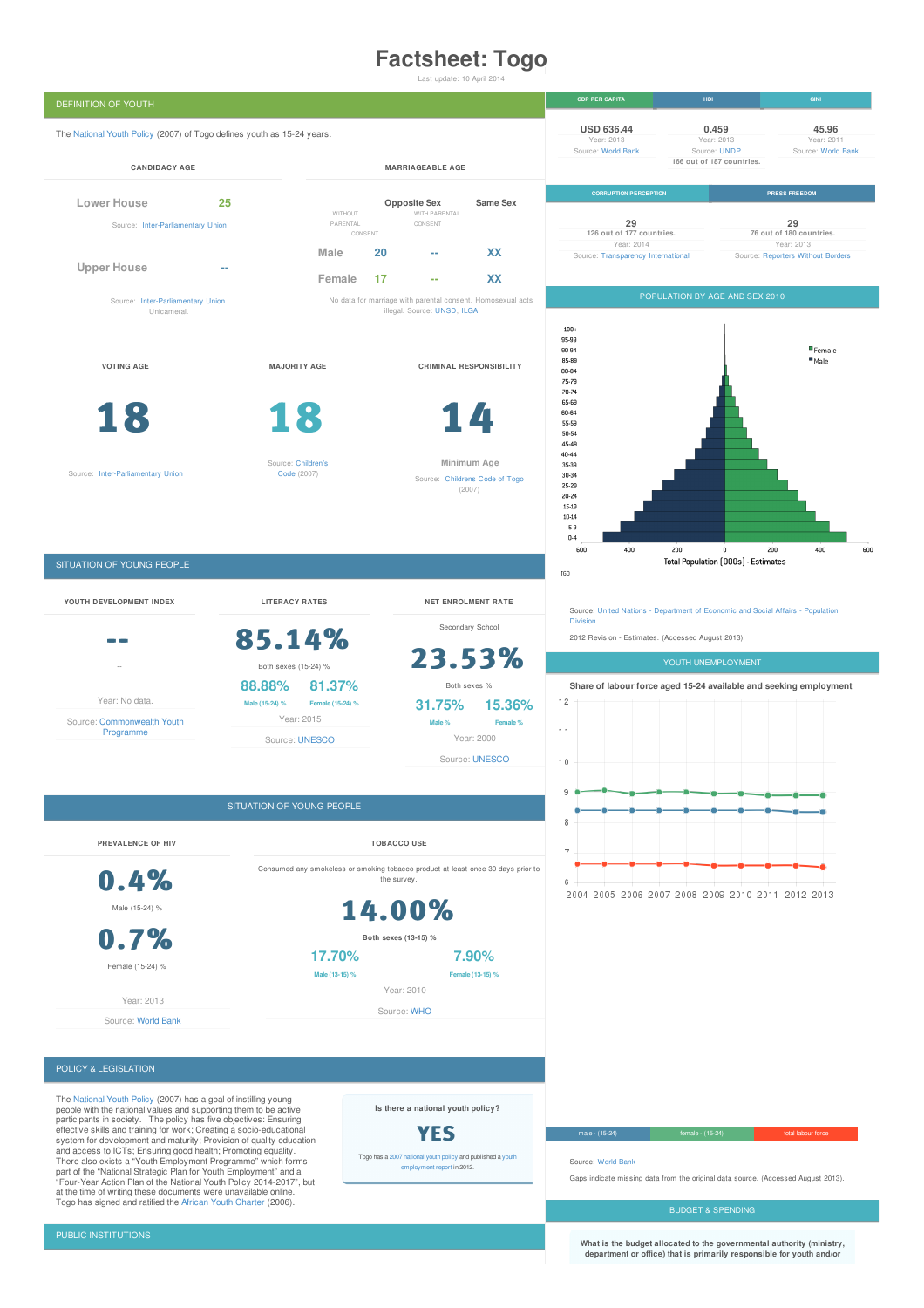# **Factsheet: Togo**

Last update: 10 April 2014



employment report in 2012.

#### Source: [World](http://data.worldbank.org/topic/labor-and-social-protection) Bank

Gaps indicate missing data from the original data source. (Accessed August 2013).

**What is the budget allocated to the governmental authority (ministry, department or office) that is primarily responsible for youth and/or**

at the time of writing these documents were unavailable online. Togo has signed and ratified the African Youth [Charter](http://www.youthpolicy.org/library/documents/african-youth-charter/) (2006).